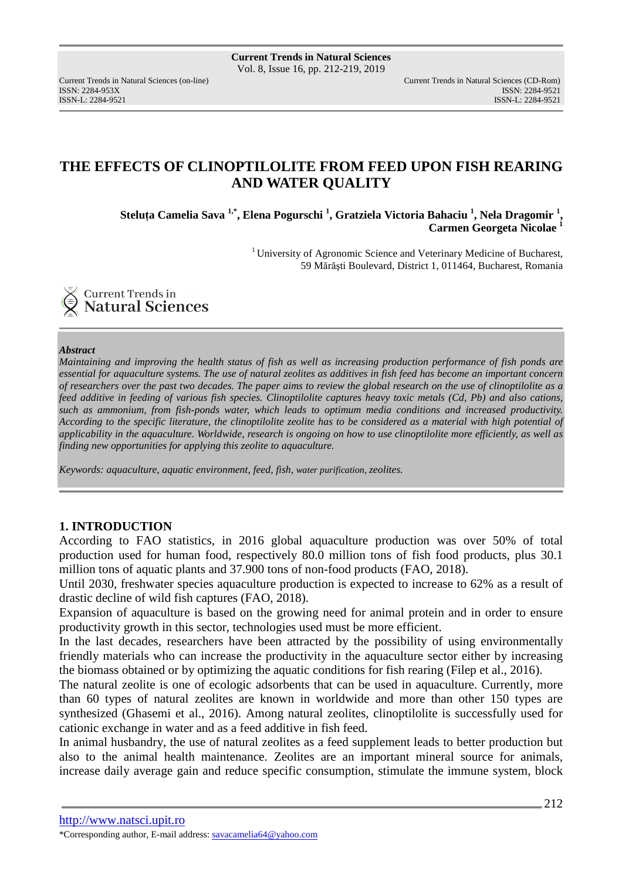ISSN-L: 2284-9521 ISSN-L: 2284-9521

# **THE EFFECTS OF CLINOPTILOLITE FROM FEED UPON FISH REARING AND WATER QUALITY**

**Steluţa Camelia Sava 1,\*, Elena Pogurschi <sup>1</sup> , Gratziela Victoria Bahaciu <sup>1</sup> , Nela Dragomir <sup>1</sup> , Carmen Georgeta Nicolae <sup>1</sup>**

> <sup>1</sup> University of Agronomic Science and Veterinary Medicine of Bucharest, 59 Mărăşti Boulevard, District 1, 011464, Bucharest, Romania



### *Abstract*

*Maintaining and improving the health status of fish as well as increasing production performance of fish ponds are essential for aquaculture systems. The use of natural zeolites as additives in fish feed has become an important concern of researchers over the past two decades. The paper aims to review the global research on the use of clinoptilolite as a feed additive in feeding of various fish species. Clinoptilolite captures heavy toxic metals (Cd, Pb) and also cations, such as ammonium, from fish-ponds water, which leads to optimum media conditions and increased productivity. According to the specific literature, the clinoptilolite zeolite has to be considered as a material with high potential of applicability in the aquaculture. Worldwide, research is ongoing on how to use clinoptilolite more efficiently, as well as finding new opportunities for applying this zeolite to aquaculture.* 

*Keywords: aquaculture, aquatic environment, feed, fish, water purification, zeolites.* 

## **1. INTRODUCTION**

According to FAO statistics, in 2016 global aquaculture production was over 50% of total production used for human food, respectively 80.0 million tons of fish food products, plus 30.1 million tons of aquatic plants and 37.900 tons of non-food products (FAO, 2018).

Until 2030, freshwater species aquaculture production is expected to increase to 62% as a result of drastic decline of wild fish captures (FAO, 2018).

Expansion of aquaculture is based on the growing need for animal protein and in order to ensure productivity growth in this sector, technologies used must be more efficient.

In the last decades, researchers have been attracted by the possibility of using environmentally friendly materials who can increase the productivity in the aquaculture sector either by increasing the biomass obtained or by optimizing the aquatic conditions for fish rearing (Filep et al., 2016).

The natural zeolite is one of ecologic adsorbents that can be used in aquaculture. Currently, more than 60 types of natural zeolites are known in worldwide and more than other 150 types are synthesized (Ghasemi et al., 2016). Among natural zeolites, clinoptilolite is successfully used for cationic exchange in water and as a feed additive in fish feed.

In animal husbandry, the use of natural zeolites as a feed supplement leads to better production but also to the animal health maintenance. Zeolites are an important mineral source for animals, increase daily average gain and reduce specific consumption, stimulate the immune system, block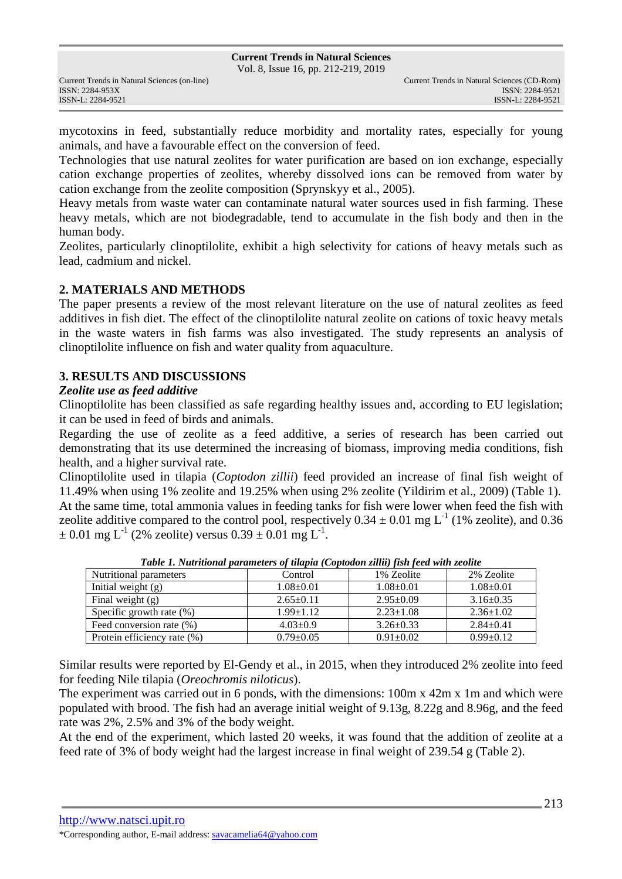Vol. 8, Issue 16, pp. 212-219, 2019

mycotoxins in feed, substantially reduce morbidity and mortality rates, especially for young animals, and have a favourable effect on the conversion of feed.

Technologies that use natural zeolites for water purification are based on ion exchange, especially cation exchange properties of zeolites, whereby dissolved ions can be removed from water by cation exchange from the zeolite composition (Sprynskyy et al., 2005).

Heavy metals from waste water can contaminate natural water sources used in fish farming. These heavy metals, which are not biodegradable, tend to accumulate in the fish body and then in the human body.

Zeolites, particularly clinoptilolite, exhibit a high selectivity for cations of heavy metals such as lead, cadmium and nickel.

## **2. MATERIALS AND METHODS**

The paper presents a review of the most relevant literature on the use of natural zeolites as feed additives in fish diet. The effect of the clinoptilolite natural zeolite on cations of toxic heavy metals in the waste waters in fish farms was also investigated. The study represents an analysis of clinoptilolite influence on fish and water quality from aquaculture.

## **3. RESULTS AND DISCUSSIONS**

## *Zeolite use as feed additive*

Clinoptilolite has been classified as safe regarding healthy issues and, according to EU legislation; it can be used in feed of birds and animals.

Regarding the use of zeolite as a feed additive, a series of research has been carried out demonstrating that its use determined the increasing of biomass, improving media conditions, fish health, and a higher survival rate.

Clinoptilolite used in tilapia (*Coptodon zillii*) feed provided an increase of final fish weight of 11.49% when using 1% zeolite and 19.25% when using 2% zeolite (Yildirim et al., 2009) (Table 1). At the same time, total ammonia values in feeding tanks for fish were lower when feed the fish with zeolite additive compared to the control pool, respectively  $0.34 \pm 0.01$  mg L<sup>-1</sup> (1% zeolite), and 0.36  $\pm$  0.01 mg L<sup>-1</sup> (2% zeolite) versus 0.39  $\pm$  0.01 mg L<sup>-1</sup>.

| Nutritional parameters      | Control         | 1% Zeolite      | 2% Zeolite      |
|-----------------------------|-----------------|-----------------|-----------------|
| Initial weight $(g)$        | $1.08 \pm 0.01$ | $1.08 \pm 0.01$ | $1.08 \pm 0.01$ |
| Final weight $(g)$          | $2.65 \pm 0.11$ | $2.95 \pm 0.09$ | $3.16 \pm 0.35$ |
| Specific growth rate $(\%)$ | $1.99 \pm 1.12$ | $2.23 \pm 1.08$ | $2.36 \pm 1.02$ |
| Feed conversion rate (%)    | $4.03 \pm 0.9$  | $3.26 \pm 0.33$ | $2.84 \pm 0.41$ |
| Protein efficiency rate (%) | $0.79+0.05$     | $0.91 \pm 0.02$ | $0.99 \pm 0.12$ |

*Table 1. Nutritional parameters of tilapia (Coptodon zillii) fish feed with zeolite* 

Similar results were reported by El-Gendy et al., in 2015, when they introduced 2% zeolite into feed for feeding Nile tilapia (*Oreochromis niloticus*).

The experiment was carried out in 6 ponds, with the dimensions: 100m x 42m x 1m and which were populated with brood. The fish had an average initial weight of 9.13g, 8.22g and 8.96g, and the feed rate was 2%, 2.5% and 3% of the body weight.

At the end of the experiment, which lasted 20 weeks, it was found that the addition of zeolite at a feed rate of 3% of body weight had the largest increase in final weight of 239.54 g (Table 2).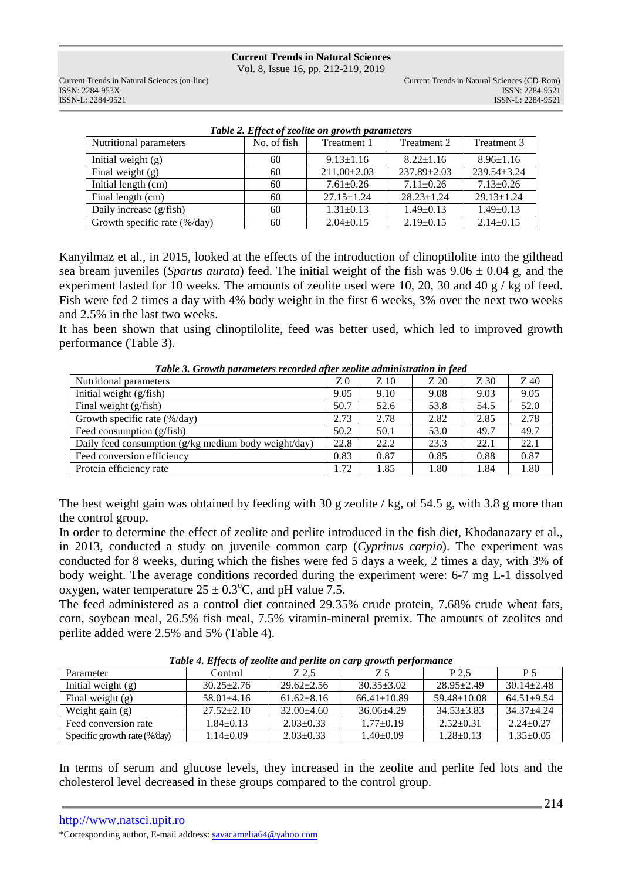**Current Trends in Natural Sciences** Vol. 8, Issue 16, pp. 212-219, 2019

ISSN: 2284-953XISSN: 2284-9521

| Tuble 2. Effect of zeolite on growin parameters |             |                   |                  |                  |  |  |  |
|-------------------------------------------------|-------------|-------------------|------------------|------------------|--|--|--|
| Nutritional parameters                          | No. of fish | Treatment 1       | Treatment 2      | Treatment 3      |  |  |  |
| Initial weight $(g)$                            | 60          | $9.13 \pm 1.16$   | $8.22 \pm 1.16$  | $8.96 \pm 1.16$  |  |  |  |
| Final weight $(g)$                              | 60          | $211.00 \pm 2.03$ | $237.89 + 2.03$  | $239.54 + 3.24$  |  |  |  |
| Initial length (cm)                             | 60          | $7.61 \pm 0.26$   | $7.11 \pm 0.26$  | $7.13 \pm 0.26$  |  |  |  |
| Final length (cm)                               | 60          | $27.15 \pm 1.24$  | $28.23 \pm 1.24$ | $29.13 \pm 1.24$ |  |  |  |
| Daily increase (g/fish)                         | 60          | $1.31 \pm 0.13$   | $1.49 \pm 0.13$  | $1.49 \pm 0.13$  |  |  |  |
| Growth specific rate (%/day)                    | 60          | $2.04 \pm 0.15$   | $2.19 \pm 0.15$  | $2.14 \pm 0.15$  |  |  |  |
|                                                 |             |                   |                  |                  |  |  |  |

| Table 2. Effect of zeolite on growth parameters |  |  |  |  |  |
|-------------------------------------------------|--|--|--|--|--|
|-------------------------------------------------|--|--|--|--|--|

Kanyilmaz et al., in 2015, looked at the effects of the introduction of clinoptilolite into the gilthead sea bream juveniles (*Sparus aurata*) feed. The initial weight of the fish was 9.06 ± 0.04 g, and the experiment lasted for 10 weeks. The amounts of zeolite used were 10, 20, 30 and 40 g / kg of feed. Fish were fed 2 times a day with 4% body weight in the first 6 weeks, 3% over the next two weeks and 2.5% in the last two weeks.

It has been shown that using clinoptilolite, feed was better used, which led to improved growth performance (Table 3).

| $\sim$ we see that the past which is a contract when $\sim$ the second contract which is the focus |                |      |      |      |      |  |  |
|----------------------------------------------------------------------------------------------------|----------------|------|------|------|------|--|--|
| Nutritional parameters                                                                             | Z <sub>0</sub> | Z 10 | Z 20 | Z 30 | Z 40 |  |  |
| Initial weight $(g/fish)$                                                                          | 9.05           | 9.10 | 9.08 | 9.03 | 9.05 |  |  |
| Final weight $(g/fish)$                                                                            | 50.7           | 52.6 | 53.8 | 54.5 | 52.0 |  |  |
| Growth specific rate (%/day)                                                                       | 2.73           | 2.78 | 2.82 | 2.85 | 2.78 |  |  |
| Feed consumption (g/fish)                                                                          | 50.2           | 50.1 | 53.0 | 49.7 | 49.7 |  |  |
| Daily feed consumption (g/kg medium body weight/day)                                               | 22.8           | 22.2 | 23.3 | 22.1 | 22.1 |  |  |
| Feed conversion efficiency                                                                         | 0.83           | 0.87 | 0.85 | 0.88 | 0.87 |  |  |
| Protein efficiency rate                                                                            | 1.72           | 1.85 | 1.80 | 1.84 | 1.80 |  |  |

*Table 3. Growth parameters recorded after zeolite administration in feed* 

The best weight gain was obtained by feeding with 30 g zeolite / kg, of 54.5 g, with 3.8 g more than the control group.

In order to determine the effect of zeolite and perlite introduced in the fish diet, Khodanazary et al., in 2013, conducted a study on juvenile common carp (*Cyprinus carpio*). The experiment was conducted for 8 weeks, during which the fishes were fed 5 days a week, 2 times a day, with 3% of body weight. The average conditions recorded during the experiment were: 6-7 mg L-1 dissolved oxygen, water temperature  $25 \pm 0.3^{\circ}$ C, and pH value 7.5.

The feed administered as a control diet contained 29.35% crude protein, 7.68% crude wheat fats, corn, soybean meal, 26.5% fish meal, 7.5% vitamin-mineral premix. The amounts of zeolites and perlite added were 2.5% and 5% (Table 4).

| Parameter                    | Control          | Z 2.5            | Ζ5                | P 2.5             | P 5              |  |  |
|------------------------------|------------------|------------------|-------------------|-------------------|------------------|--|--|
| Initial weight $(g)$         | $30.25 + 2.76$   | $29.62 \pm 2.56$ | $30.35 + 3.02$    | $28.95 \pm 2.49$  | $30.14 \pm 2.48$ |  |  |
| Final weight (g)             | $58.01 + 4.16$   | $61.62 + 8.16$   | $66.41 \pm 10.89$ | $59.48 \pm 10.08$ | $64.51 + 9.54$   |  |  |
| Weight gain $(g)$            | $27.52 \pm 2.10$ | $32.00 + 4.60$   | $36.06 \pm 4.29$  | $34.53 + 3.83$    | $34.37 + 4.24$   |  |  |
| Feed conversion rate         | $1.84 + 0.13$    | $2.03 \pm 0.33$  | $1.77+0.19$       | $2.52+0.31$       | $2.24+0.27$      |  |  |
| Specific growth rate (%/day) | $1.14 \pm 0.09$  | $2.03 \pm 0.33$  | $1.40\pm0.09$     | $1.28 \pm 0.13$   | $1.35 \pm 0.05$  |  |  |

*Table 4. Effects of zeolite and perlite on carp growth performance* 

In terms of serum and glucose levels, they increased in the zeolite and perlite fed lots and the cholesterol level decreased in these groups compared to the control group.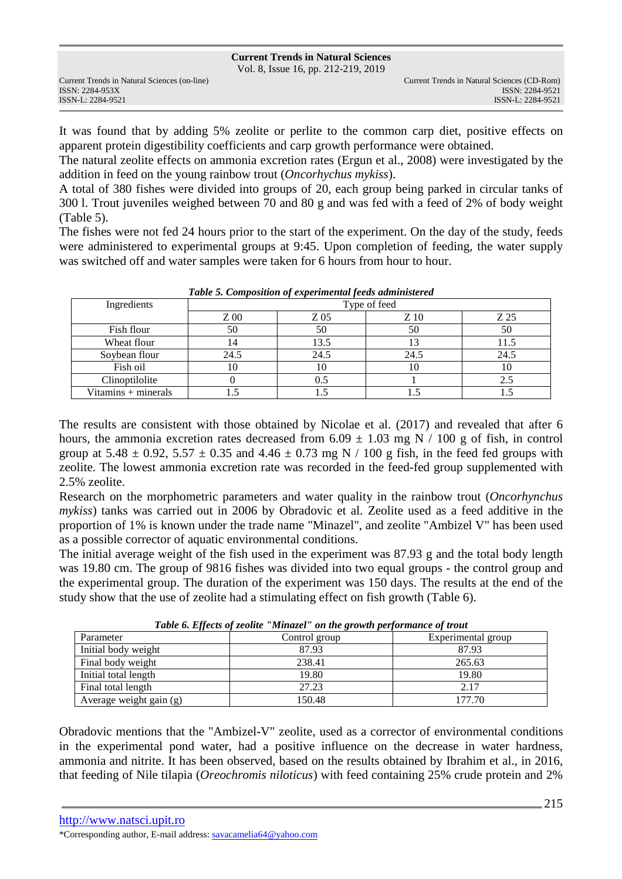Vol. 8, Issue 16, pp. 212-219, 2019

It was found that by adding 5% zeolite or perlite to the common carp diet, positive effects on apparent protein digestibility coefficients and carp growth performance were obtained.

The natural zeolite effects on ammonia excretion rates (Ergun et al., 2008) were investigated by the addition in feed on the young rainbow trout (*Oncorhychus mykiss*).

A total of 380 fishes were divided into groups of 20, each group being parked in circular tanks of 300 l. Trout juveniles weighed between 70 and 80 g and was fed with a feed of 2% of body weight (Table 5).

The fishes were not fed 24 hours prior to the start of the experiment. On the day of the study, feeds were administered to experimental groups at 9:45. Upon completion of feeding, the water supply was switched off and water samples were taken for 6 hours from hour to hour.

| Twee of Composition of experimental fecus authenticity cu |              |           |      |      |  |  |
|-----------------------------------------------------------|--------------|-----------|------|------|--|--|
| Ingredients                                               | Type of feed |           |      |      |  |  |
|                                                           | $Z_{00}$     | Z 05      | Z 10 | Z 25 |  |  |
| Fish flour                                                | 50           | 50        | 50   | 50   |  |  |
| Wheat flour                                               |              | 13.5      |      | 11.5 |  |  |
| Soybean flour                                             | 24.5         | 24.5      | 24.5 | 24.5 |  |  |
| Fish oil                                                  |              | $10^{-1}$ | 10   | 10   |  |  |
| Clinoptilolite                                            |              |           |      |      |  |  |
| Vitamins + minerals                                       |              |           |      |      |  |  |

*Table 5. Composition of experimental feeds administered* 

The results are consistent with those obtained by Nicolae et al. (2017) and revealed that after 6 hours, the ammonia excretion rates decreased from  $6.09 \pm 1.03$  mg N / 100 g of fish, in control group at  $5.48 \pm 0.92$ ,  $5.57 \pm 0.35$  and  $4.46 \pm 0.73$  mg N / 100 g fish, in the feed fed groups with zeolite. The lowest ammonia excretion rate was recorded in the feed-fed group supplemented with 2.5% zeolite.

Research on the morphometric parameters and water quality in the rainbow trout (*Oncorhynchus mykiss*) tanks was carried out in 2006 by Obradovic et al. Zeolite used as a feed additive in the proportion of 1% is known under the trade name "Minazel", and zeolite "Ambizel V" has been used as a possible corrector of aquatic environmental conditions.

The initial average weight of the fish used in the experiment was 87.93 g and the total body length was 19.80 cm. The group of 9816 fishes was divided into two equal groups - the control group and the experimental group. The duration of the experiment was 150 days. The results at the end of the study show that the use of zeolite had a stimulating effect on fish growth (Table 6).

| Tuble of Effects of geometric minuter on the growin performance of trout |               |                    |  |  |  |  |
|--------------------------------------------------------------------------|---------------|--------------------|--|--|--|--|
| Parameter                                                                | Control group | Experimental group |  |  |  |  |
| Initial body weight                                                      | 87.93         | 87.93              |  |  |  |  |
| Final body weight                                                        | 238.41        | 265.63             |  |  |  |  |
| Initial total length                                                     | 19.80         | 19.80              |  |  |  |  |
| Final total length                                                       | 27.23         | 2.17               |  |  |  |  |
| Average weight gain (g)                                                  | 150.48        | 177.70             |  |  |  |  |

*Table 6. Effects of zeolite "Minazel" on the growth performance of trout* 

Obradovic mentions that the "Ambizel-V" zeolite, used as a corrector of environmental conditions in the experimental pond water, had a positive influence on the decrease in water hardness, ammonia and nitrite. It has been observed, based on the results obtained by Ibrahim et al., in 2016, that feeding of Nile tilapia (*Oreochromis niloticus*) with feed containing 25% crude protein and 2%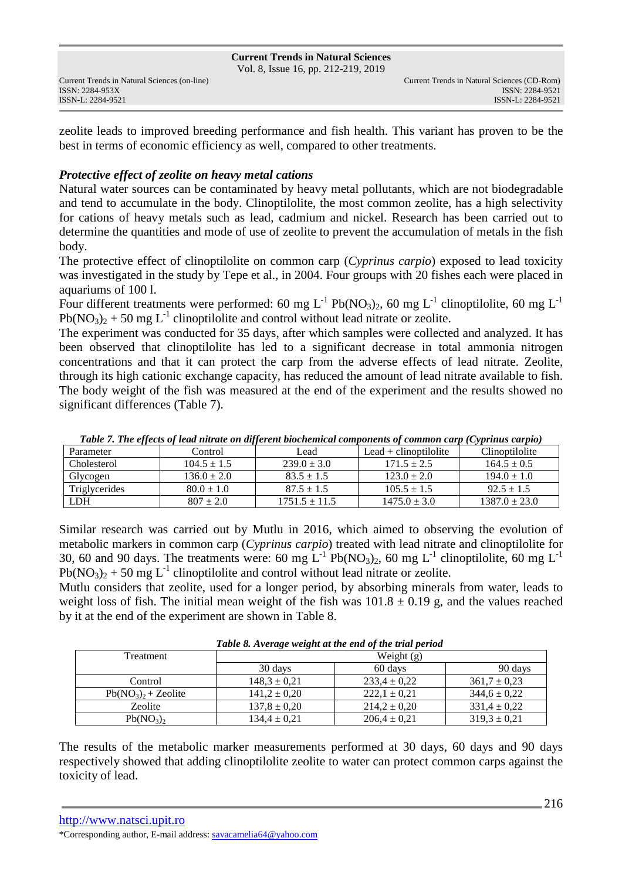#### **Current Trends in Natural Sciences** Vol. 8, Issue 16, pp. 212-219, 2019

ISSN: 2284-953XISSN: 2284-9521

zeolite leads to improved breeding performance and fish health. This variant has proven to be the best in terms of economic efficiency as well, compared to other treatments.

## *Protective effect of zeolite on heavy metal cations*

Natural water sources can be contaminated by heavy metal pollutants, which are not biodegradable and tend to accumulate in the body. Clinoptilolite, the most common zeolite, has a high selectivity for cations of heavy metals such as lead, cadmium and nickel. Research has been carried out to determine the quantities and mode of use of zeolite to prevent the accumulation of metals in the fish body.

The protective effect of clinoptilolite on common carp (*Cyprinus carpio*) exposed to lead toxicity was investigated in the study by Tepe et al., in 2004. Four groups with 20 fishes each were placed in aquariums of 100 l.

Four different treatments were performed: 60 mg L<sup>-1</sup> Pb(NO<sub>3</sub>)<sub>2</sub>, 60 mg L<sup>-1</sup> clinoptilolite, 60 mg L<sup>-1</sup>  $Pb(NO_3)_2 + 50$  mg L<sup>-1</sup> clinoptilolite and control without lead nitrate or zeolite.

The experiment was conducted for 35 days, after which samples were collected and analyzed. It has been observed that clinoptilolite has led to a significant decrease in total ammonia nitrogen concentrations and that it can protect the carp from the adverse effects of lead nitrate. Zeolite, through its high cationic exchange capacity, has reduced the amount of lead nitrate available to fish. The body weight of the fish was measured at the end of the experiment and the results showed no significant differences (Table 7).

|               |                 |                   | Tubic 7, The effects of icuu hurule on afferent bioenemical components of common carp (Cyprinus carpio) |                   |
|---------------|-----------------|-------------------|---------------------------------------------------------------------------------------------------------|-------------------|
| Parameter     | Control         | Lead              | Lead $+$ clinoptilolite                                                                                 | Clinoptilolite    |
| Cholesterol   | $104.5 \pm 1.5$ | $239.0 \pm 3.0$   | $171.5 \pm 2.5$                                                                                         | $164.5 \pm 0.5$   |
| Glycogen      | $136.0 \pm 2.0$ | $83.5 \pm 1.5$    | $123.0 \pm 2.0$                                                                                         | $194.0 \pm 1.0$   |
| Triglycerides | $80.0 \pm 1.0$  | $87.5 \pm 1.5$    | $105.5 \pm 1.5$                                                                                         | $92.5 \pm 1.5$    |
| LDH           | $807 \pm 2.0$   | $1751.5 \pm 11.5$ | $1475.0 \pm 3.0$                                                                                        | $1387.0 \pm 23.0$ |

*Table 7. The effects of lead nitrate on different biochemical components of common carp (Cyprinus carpio)* 

Similar research was carried out by Mutlu in 2016, which aimed to observing the evolution of metabolic markers in common carp (*Cyprinus carpio*) treated with lead nitrate and clinoptilolite for 30, 60 and 90 days. The treatments were: 60 mg  $L^{-1}$  Pb(NO<sub>3</sub>)<sub>2</sub>, 60 mg L<sup>-1</sup> clinoptilolite, 60 mg L<sup>-1</sup>  $Pb(NO<sub>3</sub>)<sub>2</sub> + 50$  mg L<sup>-1</sup> clinoptilolite and control without lead nitrate or zeolite.

Mutlu considers that zeolite, used for a longer period, by absorbing minerals from water, leads to weight loss of fish. The initial mean weight of the fish was  $101.8 \pm 0.19$  g, and the values reached by it at the end of the experiment are shown in Table 8.

| Table 8. Average weight at the end of the trial period |                               |                  |                  |  |  |  |
|--------------------------------------------------------|-------------------------------|------------------|------------------|--|--|--|
| Treatment                                              | Weight $(g)$                  |                  |                  |  |  |  |
|                                                        | 30 days<br>60 days<br>90 days |                  |                  |  |  |  |
| Control                                                | $148,3 \pm 0,21$              | $233.4 \pm 0.22$ | $361.7 \pm 0.23$ |  |  |  |
| $Pb(NO_3)$ , + Zeolite                                 | $141,2 \pm 0,20$              | $222.1 \pm 0.21$ | $344.6 \pm 0.22$ |  |  |  |
| Zeolite                                                | $137.8 \pm 0.20$              | $214,2 \pm 0,20$ | $331.4 \pm 0.22$ |  |  |  |
| $Pb(NO_3)$                                             | $134.4 \pm 0.21$              | $206.4 \pm 0.21$ | $319.3 \pm 0.21$ |  |  |  |

The results of the metabolic marker measurements performed at 30 days, 60 days and 90 days respectively showed that adding clinoptilolite zeolite to water can protect common carps against the toxicity of lead.

```
http://www.natsci.upit.ro 
*Corresponding author, E-mail address: savacamelia64@yahoo.com
```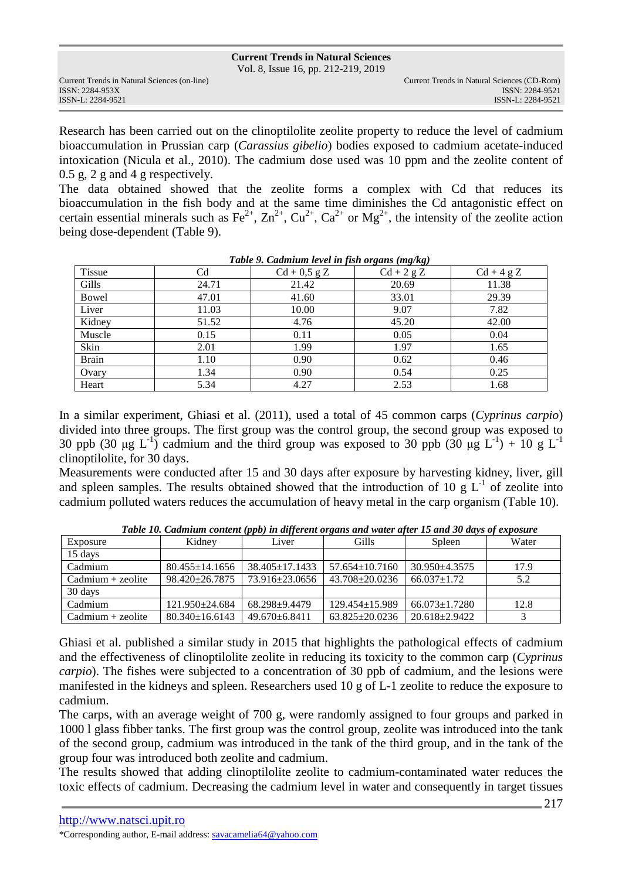Vol. 8, Issue 16, pp. 212-219, 2019

ISSN: 2284-953XISSN: 2284-9521

Research has been carried out on the clinoptilolite zeolite property to reduce the level of cadmium bioaccumulation in Prussian carp (*Carassius gibelio*) bodies exposed to cadmium acetate-induced intoxication (Nicula et al., 2010). The cadmium dose used was 10 ppm and the zeolite content of 0.5 g, 2 g and 4 g respectively.

The data obtained showed that the zeolite forms a complex with Cd that reduces its bioaccumulation in the fish body and at the same time diminishes the Cd antagonistic effect on certain essential minerals such as Fe<sup>2+</sup>, Zn<sup>2+</sup>, Cu<sup>2+</sup>, Ca<sup>2+</sup> or Mg<sup>2+</sup>, the intensity of the zeolite action being dose-dependent (Table 9).

| Tuble 2. Caamtum tevet in jish organs (mg/kg) |       |                |              |              |  |  |  |
|-----------------------------------------------|-------|----------------|--------------|--------------|--|--|--|
| <b>Tissue</b>                                 | Cd    | $Cd + 0.5 g Z$ | $Cd + 2 g Z$ | $Cd + 4 g Z$ |  |  |  |
| Gills                                         | 24.71 | 21.42          | 20.69        | 11.38        |  |  |  |
| Bowel                                         | 47.01 | 41.60          | 33.01        | 29.39        |  |  |  |
| Liver                                         | 11.03 | 10.00          | 9.07         | 7.82         |  |  |  |
| Kidney                                        | 51.52 | 4.76           | 45.20        | 42.00        |  |  |  |
| Muscle                                        | 0.15  | 0.11           | 0.05         | 0.04         |  |  |  |
| Skin                                          | 2.01  | 1.99           | 1.97         | 1.65         |  |  |  |
| <b>Brain</b>                                  | 1.10  | 0.90           | 0.62         | 0.46         |  |  |  |
| Ovary                                         | 1.34  | 0.90           | 0.54         | 0.25         |  |  |  |
| Heart                                         | 5.34  | 4.27           | 2.53         | 1.68         |  |  |  |

| Table 9. Cadmium level in fish organs (mg/kg) |  |  |
|-----------------------------------------------|--|--|
|                                               |  |  |

In a similar experiment, Ghiasi et al. (2011), used a total of 45 common carps (*Cyprinus carpio*) divided into three groups. The first group was the control group, the second group was exposed to 30 ppb (30  $\mu$ g L<sup>-1</sup>) cadmium and the third group was exposed to 30 ppb (30  $\mu$ g L<sup>-1</sup>) + 10 g L<sup>-1</sup> clinoptilolite, for 30 days.

Measurements were conducted after 15 and 30 days after exposure by harvesting kidney, liver, gill and spleen samples. The results obtained showed that the introduction of 10 g  $L^{-1}$  of zeolite into cadmium polluted waters reduces the accumulation of heavy metal in the carp organism (Table 10).

| Exposure             | Kidney               | Liver                | Gills                | Spleen              | Water |
|----------------------|----------------------|----------------------|----------------------|---------------------|-------|
| 15 days              |                      |                      |                      |                     |       |
| Cadmium              | $80.455 + 14.1656$   | $38.405 \pm 17.1433$ | $57.654 \pm 10.7160$ | $30.950 + 4.3575$   | 17.9  |
| $C$ admium + zeolite | $98.420 + 26.7875$   | 73.916+23.0656       | $43.708 + 20.0236$   | $66.037 \pm 1.72$   | 5.2   |
| 30 days              |                      |                      |                      |                     |       |
| Cadmium              | $121.950 + 24.684$   | 68.298+9.4479        | $129.454 + 15.989$   | $66.073 \pm 1.7280$ | 12.8  |
| $C$ admium + zeolite | $80.340 \pm 16.6143$ | $49.670 + 6.8411$    | $63.825 + 20.0236$   | $20.618 \pm 2.9422$ |       |

*Table 10. Cadmium content (ppb) in different organs and water after 15 and 30 days of exposure* 

Ghiasi et al. published a similar study in 2015 that highlights the pathological effects of cadmium and the effectiveness of clinoptilolite zeolite in reducing its toxicity to the common carp (*Cyprinus carpio*). The fishes were subjected to a concentration of 30 ppb of cadmium, and the lesions were manifested in the kidneys and spleen. Researchers used 10 g of L-1 zeolite to reduce the exposure to cadmium.

The carps, with an average weight of 700 g, were randomly assigned to four groups and parked in 1000 l glass fibber tanks. The first group was the control group, zeolite was introduced into the tank of the second group, cadmium was introduced in the tank of the third group, and in the tank of the group four was introduced both zeolite and cadmium.

The results showed that adding clinoptilolite zeolite to cadmium-contaminated water reduces the toxic effects of cadmium. Decreasing the cadmium level in water and consequently in target tissues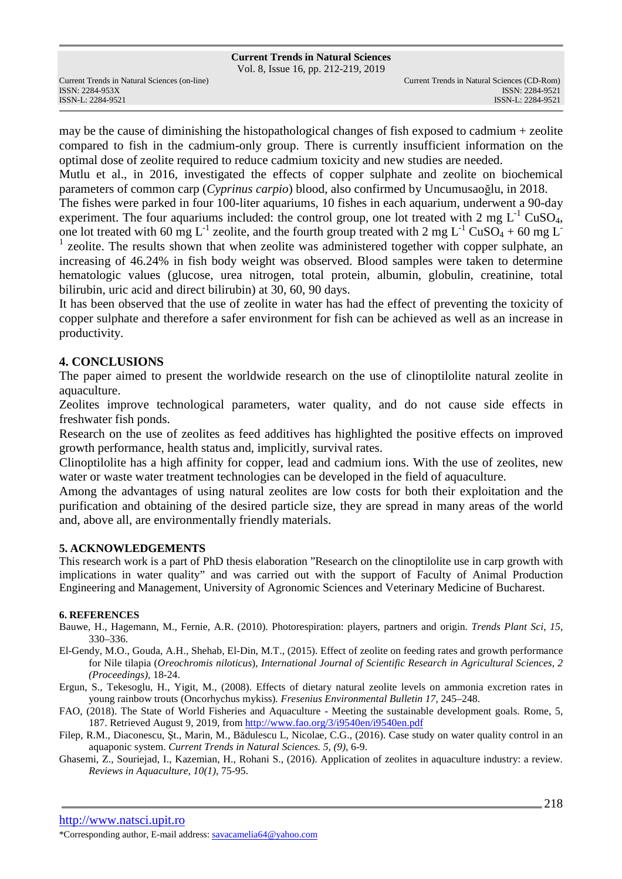Vol. 8, Issue 16, pp. 212-219, 2019

ISSN: 2284-953XISSN: 2284-9521

may be the cause of diminishing the histopathological changes of fish exposed to cadmium + zeolite compared to fish in the cadmium-only group. There is currently insufficient information on the optimal dose of zeolite required to reduce cadmium toxicity and new studies are needed.

Mutlu et al., in 2016, investigated the effects of copper sulphate and zeolite on biochemical parameters of common carp (*Cyprinus carpio*) blood, also confirmed by Uncumusaoğlu, in 2018.

The fishes were parked in four 100-liter aquariums, 10 fishes in each aquarium, underwent a 90-day experiment. The four aquariums included: the control group, one lot treated with 2 mg  $L^{-1}$  CuSO<sub>4</sub>, one lot treated with 60 mg L<sup>-1</sup> zeolite, and the fourth group treated with 2 mg L<sup>-1</sup> CuSO<sub>4</sub> + 60 mg L<sup>-1</sup> <sup>1</sup> zeolite. The results shown that when zeolite was administered together with copper sulphate, an increasing of 46.24% in fish body weight was observed. Blood samples were taken to determine hematologic values (glucose, urea nitrogen, total protein, albumin, globulin, creatinine, total bilirubin, uric acid and direct bilirubin) at 30, 60, 90 days.

It has been observed that the use of zeolite in water has had the effect of preventing the toxicity of copper sulphate and therefore a safer environment for fish can be achieved as well as an increase in productivity.

## **4. CONCLUSIONS**

The paper aimed to present the worldwide research on the use of clinoptilolite natural zeolite in aquaculture.

Zeolites improve technological parameters, water quality, and do not cause side effects in freshwater fish ponds.

Research on the use of zeolites as feed additives has highlighted the positive effects on improved growth performance, health status and, implicitly, survival rates.

Clinoptilolite has a high affinity for copper, lead and cadmium ions. With the use of zeolites, new water or waste water treatment technologies can be developed in the field of aquaculture.

Among the advantages of using natural zeolites are low costs for both their exploitation and the purification and obtaining of the desired particle size, they are spread in many areas of the world and, above all, are environmentally friendly materials.

### **5. ACKNOWLEDGEMENTS**

This research work is a part of PhD thesis elaboration "Research on the clinoptilolite use in carp growth with implications in water quality" and was carried out with the support of Faculty of Animal Production Engineering and Management, University of Agronomic Sciences and Veterinary Medicine of Bucharest.

### **6. REFERENCES**

- Bauwe, H., Hagemann, M., Fernie, A.R. (2010). Photorespiration: players, partners and origin. *Trends Plant Sci*, *15*, 330–336.
- El-Gendy, M.O., Gouda, A.H., Shehab, El-Din, M.T., (2015). Effect of zeolite on feeding rates and growth performance for Nile tilapia (*Oreochromis niloticus*), *International Journal of Scientific Research in Agricultural Sciences, 2 (Proceedings),* 18-24.
- Ergun, S., Tekesoglu, H., Yigit, M., (2008). Effects of dietary natural zeolite levels on ammonia excretion rates in young rainbow trouts (Oncorhychus mykiss)*. Fresenius Environmental Bulletin 17*, 245–248.
- FAO, (2018). The State of World Fisheries and Aquaculture Meeting the sustainable development goals. Rome, 5, 187. Retrieved August 9, 2019, from http://www.fao.org/3/i9540en/i9540en.pdf
- Filep, R.M., Diaconescu, Şt., Marin, M., Bădulescu L, Nicolae, C.G., (2016). Case study on water quality control in an aquaponic system. *Current Trends in Natural Sciences. 5, (9)*, 6-9.
- Ghasemi, Z., Souriejad, I., Kazemian, H., Rohani S., (2016). Application of zeolites in aquaculture industry: a review. *Reviews in Aquaculture*, *10(1)*, 75-95.

http://www.natsci.upit.ro

\*Corresponding author, E-mail address: savacamelia64@yahoo.com